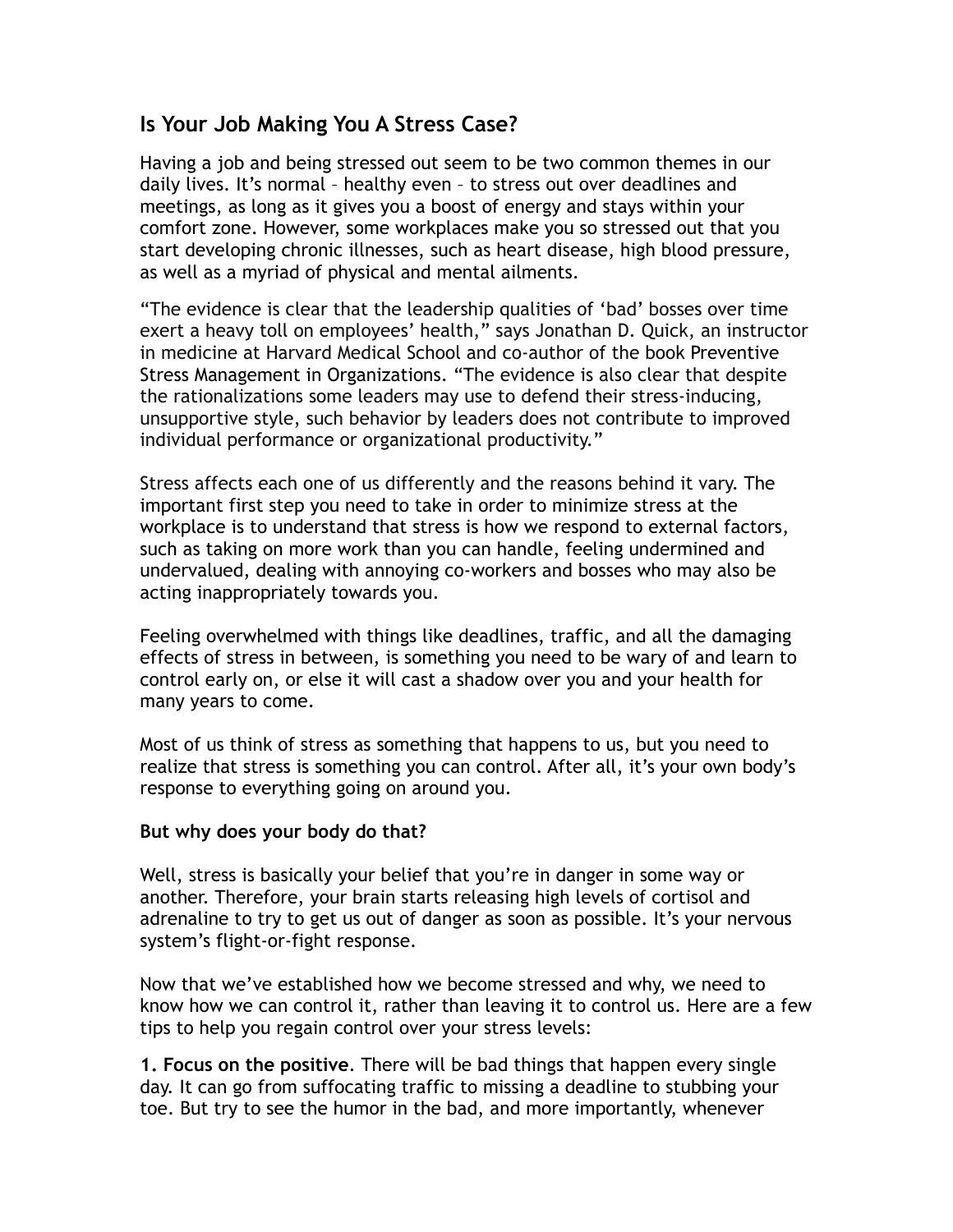## **Is Your Job Making You A Stress Case?**

Having a job and being stressed out seem to be two common themes in our daily lives. It's normal – healthy even – to stress out over deadlines and meetings, as long as it gives you a boost of energy and stays within your comfort zone. However, some workplaces make you so stressed out that you start developing chronic illnesses, such as heart disease, high blood pressure, as well as a myriad of physical and mental ailments.

"The evidence is clear that the leadership qualities of 'bad' bosses over time exert a heavy toll on employees' health," says Jonathan D. Quick, an instructor in medicine at Harvard Medical School and co-author of the book Preventive Stress Management in Organizations. "The evidence is also clear that despite the rationalizations some leaders may use to defend their stress-inducing, unsupportive style, such behavior by leaders does not contribute to improved individual performance or organizational productivity."

Stress affects each one of us differently and the reasons behind it vary. The important first step you need to take in order to minimize stress at the workplace is to understand that stress is how we respond to external factors, such as taking on more work than you can handle, feeling undermined and undervalued, dealing with annoying co-workers and bosses who may also be acting inappropriately towards you.

Feeling overwhelmed with things like deadlines, traffic, and all the damaging effects of stress in between, is something you need to be wary of and learn to control early on, or else it will cast a shadow over you and your health for many years to come.

Most of us think of stress as something that happens to us, but you need to realize that stress is something you can control. After all, it's your own body's response to everything going on around you.

## **But why does your body do that?**

Well, stress is basically your belief that you're in danger in some way or another. Therefore, your brain starts releasing high levels of cortisol and adrenaline to try to get us out of danger as soon as possible. It's your nervous system's flight-or-fight response.

Now that we've established how we become stressed and why, we need to know how we can control it, rather than leaving it to control us. Here are a few tips to help you regain control over your stress levels:

**1. Focus on the positive**. There will be bad things that happen every single day. It can go from suffocating traffic to missing a deadline to stubbing your toe. But try to see the humor in the bad, and more importantly, whenever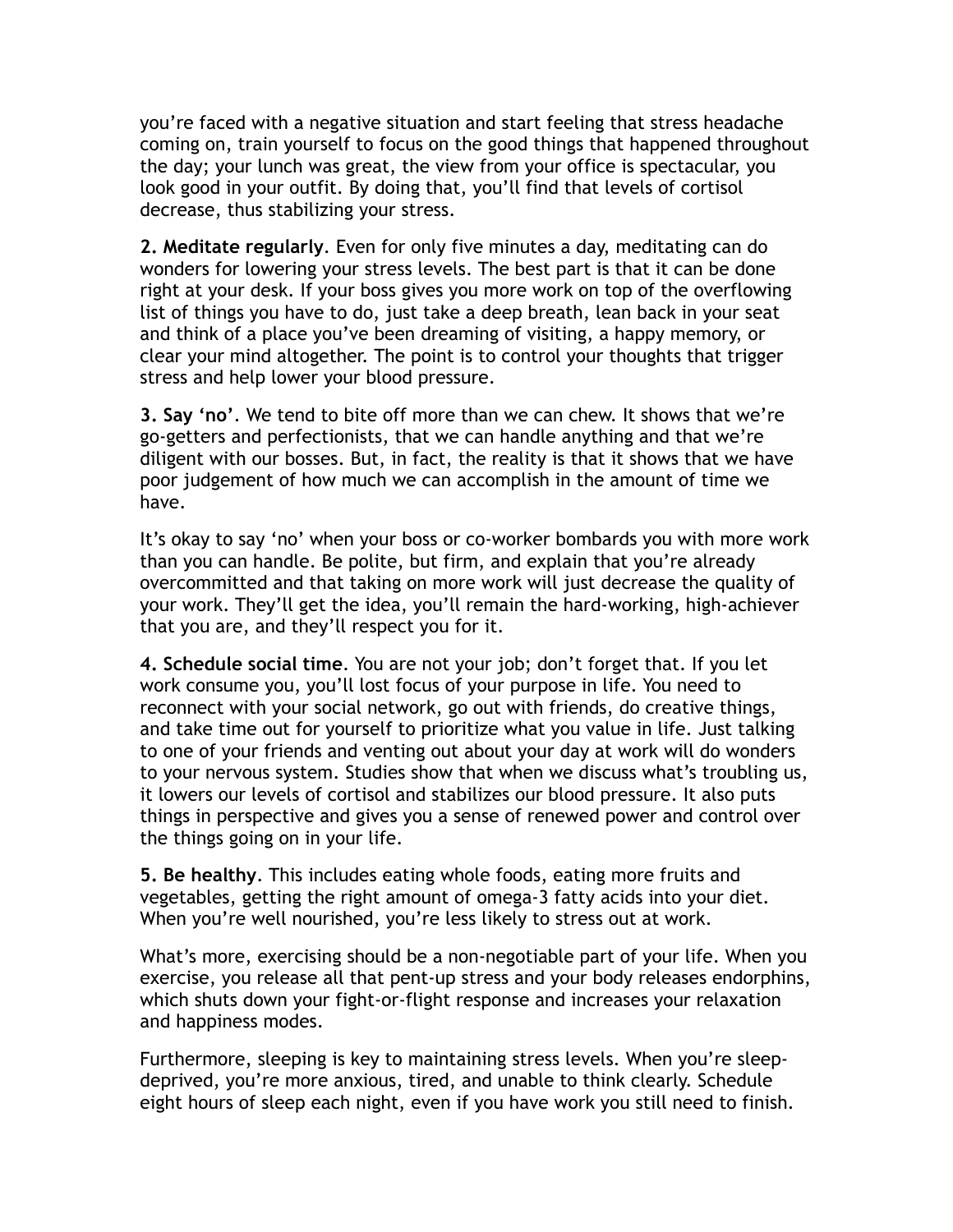you're faced with a negative situation and start feeling that stress headache coming on, train yourself to focus on the good things that happened throughout the day; your lunch was great, the view from your office is spectacular, you look good in your outfit. By doing that, you'll find that levels of cortisol decrease, thus stabilizing your stress.

**2. Meditate regularly**. Even for only five minutes a day, meditating can do wonders for lowering your stress levels. The best part is that it can be done right at your desk. If your boss gives you more work on top of the overflowing list of things you have to do, just take a deep breath, lean back in your seat and think of a place you've been dreaming of visiting, a happy memory, or clear your mind altogether. The point is to control your thoughts that trigger stress and help lower your blood pressure.

**3. Say 'no'**. We tend to bite off more than we can chew. It shows that we're go-getters and perfectionists, that we can handle anything and that we're diligent with our bosses. But, in fact, the reality is that it shows that we have poor judgement of how much we can accomplish in the amount of time we have.

It's okay to say 'no' when your boss or co-worker bombards you with more work than you can handle. Be polite, but firm, and explain that you're already overcommitted and that taking on more work will just decrease the quality of your work. They'll get the idea, you'll remain the hard-working, high-achiever that you are, and they'll respect you for it.

**4. Schedule social time**. You are not your job; don't forget that. If you let work consume you, you'll lost focus of your purpose in life. You need to reconnect with your social network, go out with friends, do creative things, and take time out for yourself to prioritize what you value in life. Just talking to one of your friends and venting out about your day at work will do wonders to your nervous system. Studies show that when we discuss what's troubling us, it lowers our levels of cortisol and stabilizes our blood pressure. It also puts things in perspective and gives you a sense of renewed power and control over the things going on in your life.

**5. Be healthy**. This includes eating whole foods, eating more fruits and vegetables, getting the right amount of omega-3 fatty acids into your diet. When you're well nourished, you're less likely to stress out at work.

What's more, exercising should be a non-negotiable part of your life. When you exercise, you release all that pent-up stress and your body releases endorphins, which shuts down your fight-or-flight response and increases your relaxation and happiness modes.

Furthermore, sleeping is key to maintaining stress levels. When you're sleepdeprived, you're more anxious, tired, and unable to think clearly. Schedule eight hours of sleep each night, even if you have work you still need to finish.